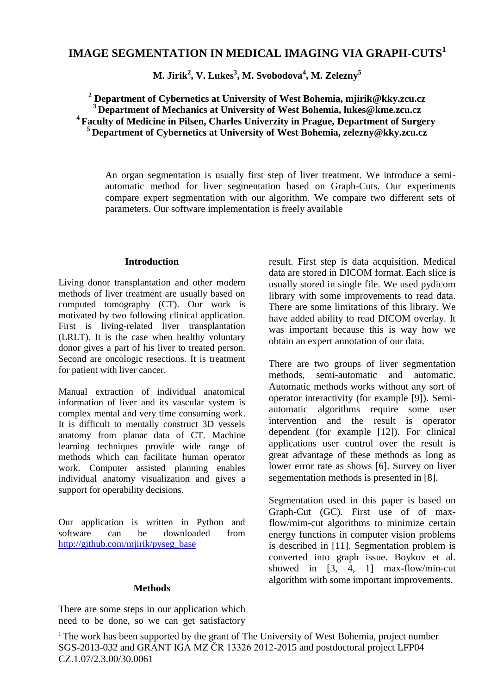# **IMAGE SEGMENTATION IN MEDICAL IMAGING VIA GRAPH-CUTS<sup>1</sup>**

**M. Jirik<sup>2</sup> , V. Lukes<sup>3</sup> , M. Svobodova<sup>4</sup> , M. Zelezny<sup>5</sup>**

 **Department of Cybernetics at University of West Bohemia, mjirik@kky.zcu.cz Department of Mechanics at University of West Bohemia, lukes@kme.zcu.cz Faculty of Medicine in Pilsen, Charles Univerzity in Prague, Department of Surgery Department of Cybernetics at University of West Bohemia, zelezny@kky.zcu.cz** 

An organ segmentation is usually first step of liver treatment. We introduce a semiautomatic method for liver segmentation based on Graph-Cuts. Our experiments compare expert segmentation with our algorithm. We compare two different sets of parameters. Our software implementation is freely available

# **Introduction**

Living donor transplantation and other modern methods of liver treatment are usually based on computed tomography (CT). Our work is motivated by two following clinical application. First is living-related liver transplantation (LRLT). It is the case when healthy voluntary donor gives a part of his liver to treated person. Second are oncologic resections. It is treatment for patient with liver cancer.

Manual extraction of individual anatomical information of liver and its vascular system is complex mental and very time consuming work. It is difficult to mentally construct 3D vessels anatomy from planar data of CT. Machine learning techniques provide wide range of methods which can facilitate human operator work. Computer assisted planning enables individual anatomy visualization and gives a support for operability decisions.

Our application is written in Python and software can be downloaded from [http://github.com/mjirik/pyseg\\_base](http://github.com/mjirik/pyseg_base)

result. First step is data acquisition. Medical data are stored in DICOM format. Each slice is usually stored in single file. We used pydicom library with some improvements to read data. There are some limitations of this library. We have added ability to read DICOM overlay. It was important because this is way how we obtain an expert annotation of our data.

There are two groups of liver segmentation methods, semi-automatic and automatic. Automatic methods works without any sort of operator interactivity (for example [9]). Semiautomatic algorithms require some user intervention and the result is operator dependent (for example [12]). For clinical applications user control over the result is great advantage of these methods as long as lower error rate as shows [6]. Survey on liver segementation methods is presented in [8].

Segmentation used in this paper is based on Graph-Cut (GC). First use of of maxflow/mim-cut algorithms to minimize certain energy functions in computer vision problems is described in [11]. Segmentation problem is converted into graph issue. Boykov et al. showed in [3, 4, 1] max-flow/min-cut algorithm with some important improvements.

# **Methods**

There are some steps in our application which need to be done, so we can get satisfactory

<sup>1</sup> The work has been supported by the grant of The University of West Bohemia, project number SGS-2013-032 and GRANT IGA MZ ČR 13326 2012-2015 and postdoctoral project LFP04 CZ.1.07/2.3.00/30.0061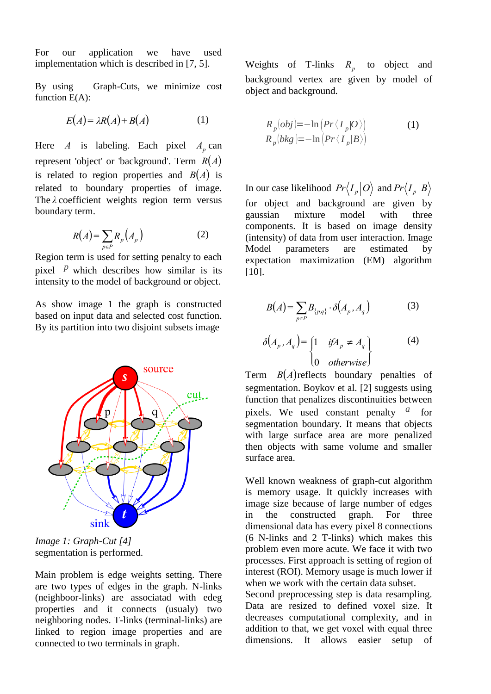For our application we have used implementation which is described in [7, 5].

By using Graph-Cuts, we minimize cost function  $E(A)$ :

$$
E(A) = \lambda R(A) + B(A) \tag{1}
$$

Here *A* is labeling. Each pixel  $A_p$  can represent 'object' or 'background'. Term *RA* is related to region properties and  $B(A)$  is related to boundary properties of image. The *λ* coefficient weights region term versus boundary term.

$$
R(A) = \sum_{p \in P} R_p(A_p) \tag{2}
$$

Region term is used for setting penalty to each pixel  $P$  which describes how similar is its intensity to the model of background or object.

As show image 1 the graph is constructed based on input data and selected cost function. By its partition into two disjoint subsets image



segmentation is performed. *Image 1: Graph-Cut [4]*

Main problem is edge weights setting. There are two types of edges in the graph. N-links (neighboor-links) are associatad with edeg properties and it connects (usualy) two neighboring nodes. T-links (terminal-links) are linked to region image properties and are connected to two terminals in graph.

Weights of T-links  $R_p$  to object and background vertex are given by model of object and background.

$$
R_p(obj) = -\ln \left( \frac{Pr\langle I_p | O \rangle}{R_p (bkg)} \right) \tag{1}
$$
  

$$
R_p (bkg) = -\ln \left( \frac{Pr\langle I_p | B \rangle}{R_p (bkg)} \right)
$$

In our case likelihood  $Pr\left\langle I_p | O \right\rangle$  and  $Pr\left\langle I_p | B \right\rangle$ for object and background are given by gaussian mixture model with three components. It is based on image density (intensity) of data from user interaction. Image<br>Model parameters are estimated by Model parameters are estimated by expectation maximization (EM) algorithm [10].

$$
B(A) = \sum_{p \in P} B_{\{p,q\}} \cdot \delta(A_p, A_q)
$$
 (3)

$$
\delta(A_p, A_q) = \begin{cases} 1 & if A_p \neq A_q \\ 0 & otherwise \end{cases}
$$
 (4)

Term  $B(A)$  reflects boundary penalties of segmentation. Boykov et al. [2] suggests using function that penalizes discontinuities between pixels. We used constant penalty *a* for segmentation boundary. It means that objects with large surface area are more penalized then objects with same volume and smaller surface area.

Well known weakness of graph-cut algorithm is memory usage. It quickly increases with image size because of large number of edges in the constructed graph. For three dimensional data has every pixel 8 connections (6 N-links and 2 T-links) which makes this problem even more acute. We face it with two processes. First approach is setting of region of interest (ROI). Memory usage is much lower if when we work with the certain data subset.

Second preprocessing step is data resampling. Data are resized to defined voxel size. It decreases computational complexity, and in addition to that, we get voxel with equal three dimensions. It allows easier setup of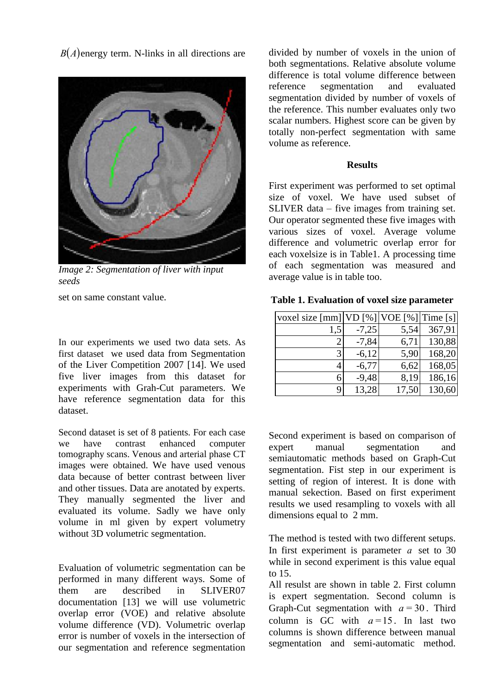$B(A)$  energy term. N-links in all directions are



*Image 2: Segmentation of liver with input seeds*

set on same constant value.

In our experiments we used two data sets. As first dataset we used data from Segmentation of the Liver Competition 2007 [14]. We used five liver images from this dataset for experiments with Grah-Cut parameters. We have reference segmentation data for this dataset.

Second dataset is set of 8 patients. For each case we have contrast enhanced computer tomography scans. Venous and arterial phase CT images were obtained. We have used venous data because of better contrast between liver and other tissues. Data are anotated by experts. They manually segmented the liver and evaluated its volume. Sadly we have only volume in ml given by expert volumetry without 3D volumetric segmentation.

Evaluation of volumetric segmentation can be performed in many different ways. Some of them are described in SLIVER07 documentation [13] we will use volumetric overlap error (VOE) and relative absolute volume difference (VD). Volumetric overlap error is number of voxels in the intersection of our segmentation and reference segmentation divided by number of voxels in the union of both segmentations. Relative absolute volume difference is total volume difference between reference segmentation and evaluated segmentation divided by number of voxels of the reference. This number evaluates only two scalar numbers. Highest score can be given by totally non-perfect segmentation with same volume as reference.

# **Results**

First experiment was performed to set optimal size of voxel. We have used subset of SLIVER data – five images from training set. Our operator segmented these five images with various sizes of voxel. Average volume difference and volumetric overlap error for each voxelsize is in Table1. A processing time of each segmentation was measured and average value is in table too.

|  | Table 1. Evaluation of voxel size parameter |  |  |  |
|--|---------------------------------------------|--|--|--|
|--|---------------------------------------------|--|--|--|

| voxel size $\lceil \text{mm} \rceil  \text{VD} [\%]  \text{VOE} [\%]  \text{Time} [\sceil]$ |         |       |        |
|---------------------------------------------------------------------------------------------|---------|-------|--------|
| 1,5                                                                                         | $-7,25$ | 5,54  | 367,91 |
|                                                                                             | $-7,84$ | 6,71  | 130,88 |
| 3                                                                                           | $-6,12$ | 5,90  | 168,20 |
|                                                                                             | $-6,77$ | 6,62  | 168,05 |
| 6                                                                                           | $-9,48$ | 8,19  | 186,16 |
| 9                                                                                           | 13,28   | 17,50 | 130,60 |

Second experiment is based on comparison of expert manual segmentation and semiautomatic methods based on Graph-Cut segmentation. Fist step in our experiment is setting of region of interest. It is done with manual sekection. Based on first experiment results we used resampling to voxels with all dimensions equal to 2 mm.

The method is tested with two different setups. In first experiment is parameter  $a$  set to 30 while in second experiment is this value equal to 15.

All resulst are shown in table 2. First column is expert segmentation. Second column is Graph-Cut segmentation with  $a = 30$ . Third column is GC with  $a=15$ . In last two columns is shown difference between manual segmentation and semi-automatic method.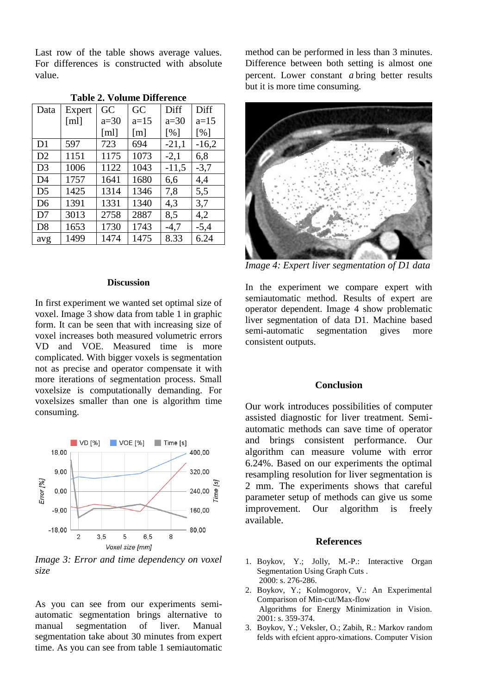Last row of the table shows average values. For differences is constructed with absolute value.

| Data           | Expert       | GC     | GC     | Diff    | Diff    |
|----------------|--------------|--------|--------|---------|---------|
|                | $\lceil$ ml] | $a=30$ | $a=15$ | $a=30$  | $a=15$  |
|                |              | [ml]   | [m]    | [%]     | [%]     |
| D1             | 597          | 723    | 694    | $-21,1$ | $-16,2$ |
| D2             | 1151         | 1175   | 1073   | $-2,1$  | 6,8     |
| D <sub>3</sub> | 1006         | 1122   | 1043   | $-11,5$ | $-3,7$  |
| D4             | 1757         | 1641   | 1680   | 6,6     | 4,4     |
| D <sub>5</sub> | 1425         | 1314   | 1346   | 7,8     | 5,5     |
| D <sub>6</sub> | 1391         | 1331   | 1340   | 4,3     | 3,7     |
| D7             | 3013         | 2758   | 2887   | 8,5     | 4,2     |
| D <sub>8</sub> | 1653         | 1730   | 1743   | $-4,7$  | $-5,4$  |
| avg            | 1499         | 1474   | 1475   | 8.33    | 6.24    |

**Table 2. Volume Difference**

#### **Discussion**

In first experiment we wanted set optimal size of voxel. Image 3 show data from table 1 in graphic form. It can be seen that with increasing size of voxel increases both measured volumetric errors VD and VOE. Measured time is more complicated. With bigger voxels is segmentation not as precise and operator compensate it with more iterations of segmentation process. Small voxelsize is computationally demanding. For voxelsizes smaller than one is algorithm time consuming.



*Image 3: Error and time dependency on voxel size* 

As you can see from our experiments semiautomatic segmentation brings alternative to manual segmentation of liver. Manual segmentation take about 30 minutes from expert time. As you can see from table 1 semiautomatic

method can be performed in less than 3 minutes. Difference between both setting is almost one percent. Lower constant *a* bring better results but it is more time consuming.



*Image 4: Expert liver segmentation of D1 data* 

In the experiment we compare expert with semiautomatic method. Results of expert are operator dependent. Image 4 show problematic liver segmentation of data D1. Machine based<br>semi-automatic segmentation gives more segmentation gives more consistent outputs.

### **Conclusion**

Our work introduces possibilities of computer assisted diagnostic for liver treatment. Semiautomatic methods can save time of operator and brings consistent performance. Our algorithm can measure volume with error 6.24%. Based on our experiments the optimal resampling resolution for liver segmentation is 2 mm. The experiments shows that careful parameter setup of methods can give us some improvement. Our algorithm is freely available.

#### **References**

- 1. Boykov, Y.; Jolly, M.-P.: Interactive Organ Segmentation Using Graph Cuts . 2000: s. 276-286.
- 2. Boykov, Y.; Kolmogorov, V.: An Experimental Comparison of Min-cut/Max-flow Algorithms for Energy Minimization in Vision. 2001: s. 359-374.
- 3. Boykov, Y.; Veksler, O.; Zabih, R.: Markov random felds with efcient appro-ximations. Computer Vision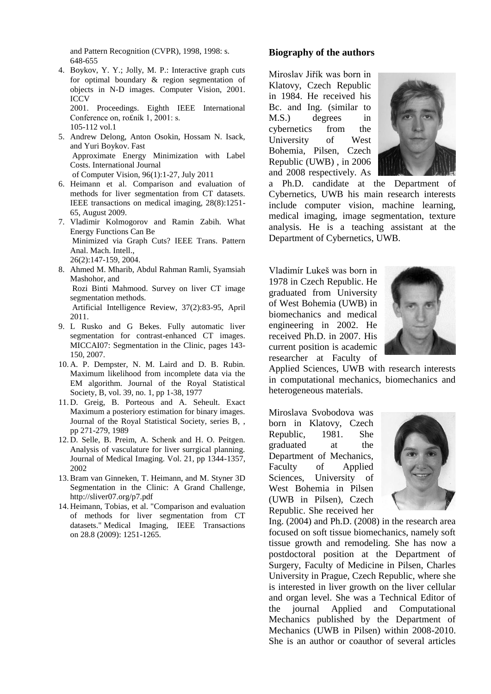and Pattern Recognition (CVPR), 1998, 1998: s. 648-655

4. Boykov, Y. Y.; Jolly, M. P.: Interactive graph cuts for optimal boundary & region segmentation of objects in N-D images. Computer Vision, 2001. ICCV 2001. Proceedings. Eighth IEEE International

Conference on, ro£ník 1, 2001: s. 105-112 vol.1

- 5. Andrew Delong, Anton Osokin, Hossam N. Isack, and Yuri Boykov. Fast Approximate Energy Minimization with Label Costs. International Journal of Computer Vision, 96(1):1-27, July 2011
- 6. Heimann et al. Comparison and evaluation of methods for liver segmentation from CT datasets. IEEE transactions on medical imaging, 28(8):1251- 65, August 2009.
- 7. Vladimir Kolmogorov and Ramin Zabih. What Energy Functions Can Be Minimized via Graph Cuts? IEEE Trans. Pattern Anal. Mach. Intell., 26(2):147-159, 2004.
- 8. Ahmed M. Mharib, Abdul Rahman Ramli, Syamsiah Mashohor, and Rozi Binti Mahmood. Survey on liver CT image segmentation methods. Artificial Intelligence Review, 37(2):83-95, April 2011.
- 9. L Rusko and G Bekes. Fully automatic liver segmentation for contrast-enhanced CT images. MICCAI07: Segmentation in the Clinic, pages 143- 150, 2007.
- 10. A. P. Dempster, N. M. Laird and D. B. Rubin. Maximum likelihood from incomplete data via the EM algorithm. Journal of the Royal Statistical Society, B, vol. 39, no. 1, pp 1-38, 1977
- 11. D. Greig, B. Porteous and A. Seheult. Exact Maximum a posteriory estimation for binary images. Journal of the Royal Statistical Society, series B, , pp 271-279, 1989
- 12. D. Selle, B. Preim, A. Schenk and H. O. Peitgen. Analysis of vasculature for liver surrgical planning. Journal of Medical Imaging. Vol. 21, pp 1344-1357, 2002
- 13.Bram van Ginneken, T. Heimann, and M. Styner 3D Segmentation in the Clinic: A Grand Challenge, http://sliver07.org/p7.pdf
- 14. Heimann, Tobias, et al. "Comparison and evaluation of methods for liver segmentation from CT datasets." Medical Imaging, IEEE Transactions on 28.8 (2009): 1251-1265.

# **Biography of the authors**

Miroslav Jiřík was born in Klatovy, Czech Republic in 1984. He received his Bc. and Ing. (similar to M.S.) degrees in cybernetics from the University of West Bohemia, Pilsen, Czech Republic (UWB) , in 2006 and 2008 respectively. As



a Ph.D. candidate at the Department of Cybernetics, UWB his main research interests include computer vision, machine learning, medical imaging, image segmentation, texture analysis. He is a teaching assistant at the Department of Cybernetics, UWB.

Vladimír Lukeš was born in 1978 in Czech Republic. He graduated from University of West Bohemia (UWB) in biomechanics and medical engineering in 2002. He received Ph.D. in 2007. His current position is academic researcher at Faculty of



Applied Sciences, UWB with research interests in computational mechanics, biomechanics and heterogeneous materials.

Miroslava Svobodova was born in Klatovy, Czech Republic, 1981. She graduated at the Department of Mechanics, Faculty of Applied Sciences, University of West Bohemia in Pilsen (UWB in Pilsen), Czech Republic. She received her



Ing. (2004) and Ph.D. (2008) in the research area focused on soft tissue biomechanics, namely soft tissue growth and remodeling. She has now a postdoctoral position at the Department of Surgery, Faculty of Medicine in Pilsen, Charles University in Prague, Czech Republic, where she is interested in liver growth on the liver cellular and organ level. She was a Technical Editor of the journal Applied and Computational Mechanics published by the Department of Mechanics (UWB in Pilsen) within 2008-2010. She is an author or coauthor of several articles